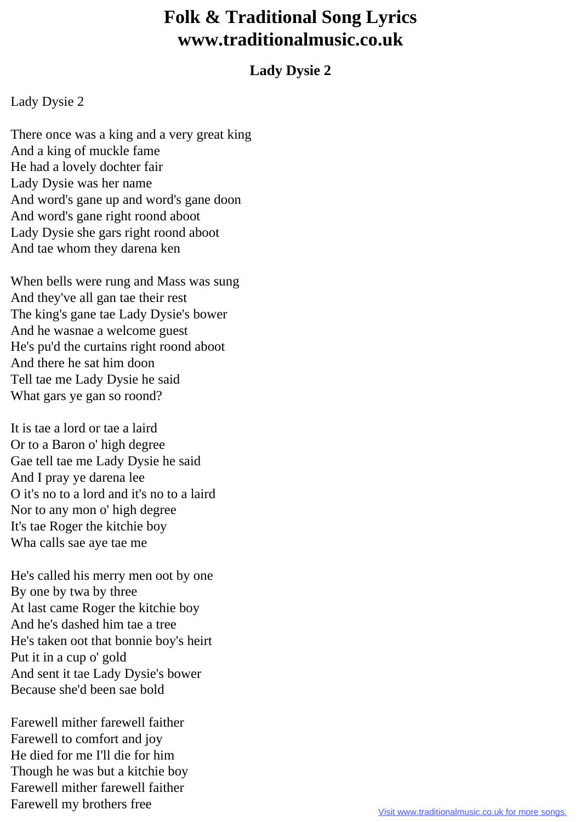## **Folk & Traditional Song Lyrics www.traditionalmusic.co.uk**

## **Lady Dysie 2**

## Lady Dysie 2

There once was a king and a very great king And a king of muckle fame He had a lovely dochter fair Lady Dysie was her name And word's gane up and word's gane doon And word's gane right roond aboot Lady Dysie she gars right roond aboot And tae whom they darena ken

When bells were rung and Mass was sung And they've all gan tae their rest The king's gane tae Lady Dysie's bower And he wasnae a welcome guest He's pu'd the curtains right roond aboot And there he sat him doon Tell tae me Lady Dysie he said What gars ye gan so roond?

It is tae a lord or tae a laird Or to a Baron o' high degree Gae tell tae me Lady Dysie he said And I pray ye darena lee O it's no to a lord and it's no to a laird Nor to any mon o' high degree It's tae Roger the kitchie boy Wha calls sae aye tae me

He's called his merry men oot by one By one by twa by three At last came Roger the kitchie boy And he's dashed him tae a tree He's taken oot that bonnie boy's heirt Put it in a cup o' gold And sent it tae Lady Dysie's bower Because she'd been sae bold

Farewell mither farewell faither Farewell to comfort and joy He died for me I'll die for him Though he was but a kitchie boy Farewell mither farewell faither Farewell my brothers free